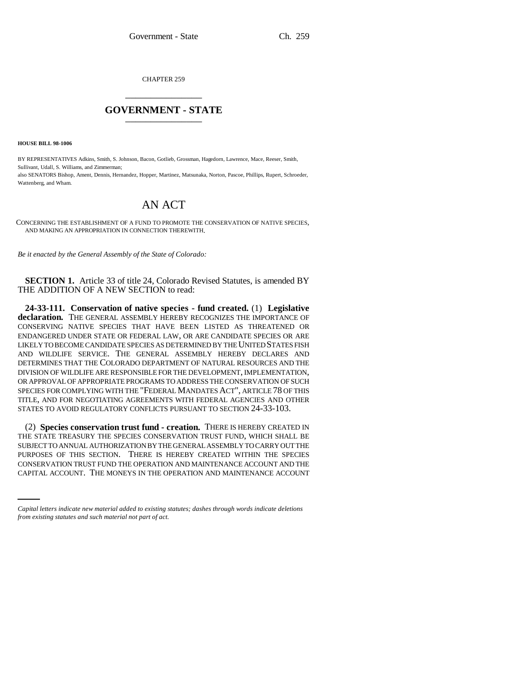CHAPTER 259 \_\_\_\_\_\_\_\_\_\_\_\_\_\_\_

## **GOVERNMENT - STATE** \_\_\_\_\_\_\_\_\_\_\_\_\_\_\_

**HOUSE BILL 98-1006**

BY REPRESENTATIVES Adkins, Smith, S. Johnson, Bacon, Gotlieb, Grossman, Hagedorn, Lawrence, Mace, Reeser, Smith, Sullivant, Udall, S. Williams, and Zimmerman; also SENATORS Bishop, Ament, Dennis, Hernandez, Hopper, Martinez, Matsunaka, Norton, Pascoe, Phillips, Rupert, Schroeder, Wattenberg, and Wham.

## AN ACT

CONCERNING THE ESTABLISHMENT OF A FUND TO PROMOTE THE CONSERVATION OF NATIVE SPECIES, AND MAKING AN APPROPRIATION IN CONNECTION THEREWITH.

*Be it enacted by the General Assembly of the State of Colorado:*

**SECTION 1.** Article 33 of title 24, Colorado Revised Statutes, is amended BY THE ADDITION OF A NEW SECTION to read:

**24-33-111. Conservation of native species - fund created.** (1) **Legislative declaration.** THE GENERAL ASSEMBLY HEREBY RECOGNIZES THE IMPORTANCE OF CONSERVING NATIVE SPECIES THAT HAVE BEEN LISTED AS THREATENED OR ENDANGERED UNDER STATE OR FEDERAL LAW, OR ARE CANDIDATE SPECIES OR ARE LIKELY TO BECOME CANDIDATE SPECIES AS DETERMINED BY THE UNITED STATES FISH AND WILDLIFE SERVICE. THE GENERAL ASSEMBLY HEREBY DECLARES AND DETERMINES THAT THE COLORADO DEPARTMENT OF NATURAL RESOURCES AND THE DIVISION OF WILDLIFE ARE RESPONSIBLE FOR THE DEVELOPMENT, IMPLEMENTATION, OR APPROVAL OF APPROPRIATE PROGRAMS TO ADDRESS THE CONSERVATION OF SUCH SPECIES FOR COMPLYING WITH THE "FEDERAL MANDATES ACT", ARTICLE 78 OF THIS TITLE, AND FOR NEGOTIATING AGREEMENTS WITH FEDERAL AGENCIES AND OTHER STATES TO AVOID REGULATORY CONFLICTS PURSUANT TO SECTION 24-33-103.

PURPOSES OF THIS SECTION. THERE IS HEREBY CREATED WITHIN THE SPECIES (2) **Species conservation trust fund - creation.** THERE IS HEREBY CREATED IN THE STATE TREASURY THE SPECIES CONSERVATION TRUST FUND, WHICH SHALL BE SUBJECT TO ANNUAL AUTHORIZATION BY THE GENERAL ASSEMBLY TO CARRY OUT THE CONSERVATION TRUST FUND THE OPERATION AND MAINTENANCE ACCOUNT AND THE CAPITAL ACCOUNT. THE MONEYS IN THE OPERATION AND MAINTENANCE ACCOUNT

*Capital letters indicate new material added to existing statutes; dashes through words indicate deletions from existing statutes and such material not part of act.*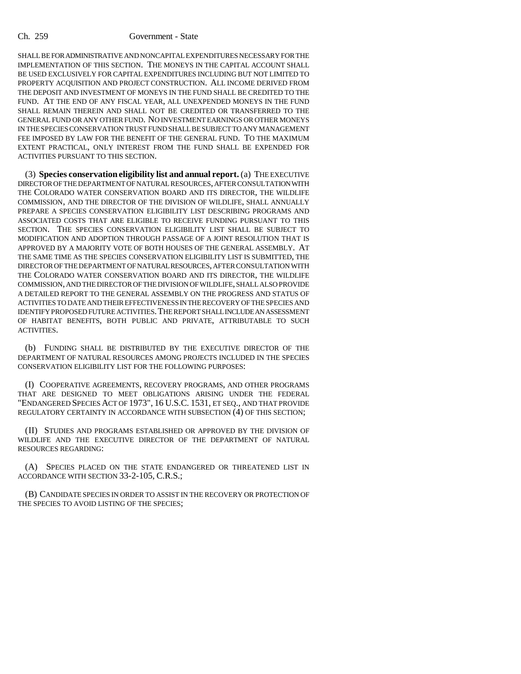SHALL BE FOR ADMINISTRATIVE AND NONCAPITAL EXPENDITURES NECESSARY FOR THE IMPLEMENTATION OF THIS SECTION. THE MONEYS IN THE CAPITAL ACCOUNT SHALL BE USED EXCLUSIVELY FOR CAPITAL EXPENDITURES INCLUDING BUT NOT LIMITED TO PROPERTY ACQUISITION AND PROJECT CONSTRUCTION. ALL INCOME DERIVED FROM THE DEPOSIT AND INVESTMENT OF MONEYS IN THE FUND SHALL BE CREDITED TO THE FUND. AT THE END OF ANY FISCAL YEAR, ALL UNEXPENDED MONEYS IN THE FUND SHALL REMAIN THEREIN AND SHALL NOT BE CREDITED OR TRANSFERRED TO THE GENERAL FUND OR ANY OTHER FUND. NO INVESTMENT EARNINGS OR OTHER MONEYS IN THE SPECIES CONSERVATION TRUST FUND SHALL BE SUBJECT TO ANY MANAGEMENT FEE IMPOSED BY LAW FOR THE BENEFIT OF THE GENERAL FUND. TO THE MAXIMUM EXTENT PRACTICAL, ONLY INTEREST FROM THE FUND SHALL BE EXPENDED FOR ACTIVITIES PURSUANT TO THIS SECTION.

(3) **Species conservation eligibility list and annual report.** (a) THE EXECUTIVE DIRECTOR OF THE DEPARTMENT OF NATURAL RESOURCES, AFTER CONSULTATION WITH THE COLORADO WATER CONSERVATION BOARD AND ITS DIRECTOR, THE WILDLIFE COMMISSION, AND THE DIRECTOR OF THE DIVISION OF WILDLIFE, SHALL ANNUALLY PREPARE A SPECIES CONSERVATION ELIGIBILITY LIST DESCRIBING PROGRAMS AND ASSOCIATED COSTS THAT ARE ELIGIBLE TO RECEIVE FUNDING PURSUANT TO THIS SECTION. THE SPECIES CONSERVATION ELIGIBILITY LIST SHALL BE SUBJECT TO MODIFICATION AND ADOPTION THROUGH PASSAGE OF A JOINT RESOLUTION THAT IS APPROVED BY A MAJORITY VOTE OF BOTH HOUSES OF THE GENERAL ASSEMBLY. AT THE SAME TIME AS THE SPECIES CONSERVATION ELIGIBILITY LIST IS SUBMITTED, THE DIRECTOR OF THE DEPARTMENT OF NATURAL RESOURCES, AFTER CONSULTATION WITH THE COLORADO WATER CONSERVATION BOARD AND ITS DIRECTOR, THE WILDLIFE COMMISSION, AND THE DIRECTOR OF THE DIVISION OF WILDLIFE, SHALL ALSO PROVIDE A DETAILED REPORT TO THE GENERAL ASSEMBLY ON THE PROGRESS AND STATUS OF ACTIVITIES TO DATE AND THEIR EFFECTIVENESS IN THE RECOVERY OF THE SPECIES AND IDENTIFY PROPOSED FUTURE ACTIVITIES.THE REPORT SHALL INCLUDE AN ASSESSMENT OF HABITAT BENEFITS, BOTH PUBLIC AND PRIVATE, ATTRIBUTABLE TO SUCH ACTIVITIES.

(b) FUNDING SHALL BE DISTRIBUTED BY THE EXECUTIVE DIRECTOR OF THE DEPARTMENT OF NATURAL RESOURCES AMONG PROJECTS INCLUDED IN THE SPECIES CONSERVATION ELIGIBILITY LIST FOR THE FOLLOWING PURPOSES:

(I) COOPERATIVE AGREEMENTS, RECOVERY PROGRAMS, AND OTHER PROGRAMS THAT ARE DESIGNED TO MEET OBLIGATIONS ARISING UNDER THE FEDERAL "ENDANGERED SPECIES ACT OF 1973", 16 U.S.C. 1531, ET SEQ., AND THAT PROVIDE REGULATORY CERTAINTY IN ACCORDANCE WITH SUBSECTION (4) OF THIS SECTION;

(II) STUDIES AND PROGRAMS ESTABLISHED OR APPROVED BY THE DIVISION OF WILDLIFE AND THE EXECUTIVE DIRECTOR OF THE DEPARTMENT OF NATURAL RESOURCES REGARDING:

(A) SPECIES PLACED ON THE STATE ENDANGERED OR THREATENED LIST IN ACCORDANCE WITH SECTION 33-2-105, C.R.S.;

(B) CANDIDATE SPECIES IN ORDER TO ASSIST IN THE RECOVERY OR PROTECTION OF THE SPECIES TO AVOID LISTING OF THE SPECIES;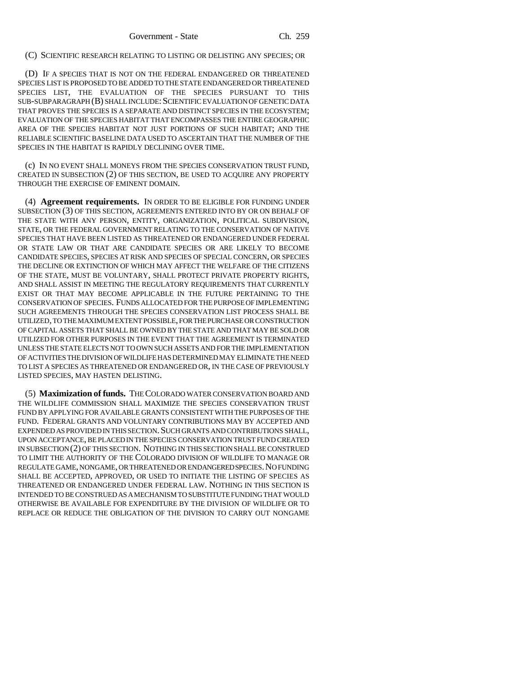(C) SCIENTIFIC RESEARCH RELATING TO LISTING OR DELISTING ANY SPECIES; OR

(D) IF A SPECIES THAT IS NOT ON THE FEDERAL ENDANGERED OR THREATENED SPECIES LIST IS PROPOSED TO BE ADDED TO THE STATE ENDANGERED OR THREATENED SPECIES LIST, THE EVALUATION OF THE SPECIES PURSUANT TO THIS SUB-SUBPARAGRAPH (B) SHALL INCLUDE:SCIENTIFIC EVALUATION OF GENETIC DATA THAT PROVES THE SPECIES IS A SEPARATE AND DISTINCT SPECIES IN THE ECOSYSTEM; EVALUATION OF THE SPECIES HABITAT THAT ENCOMPASSES THE ENTIRE GEOGRAPHIC AREA OF THE SPECIES HABITAT NOT JUST PORTIONS OF SUCH HABITAT; AND THE RELIABLE SCIENTIFIC BASELINE DATA USED TO ASCERTAIN THAT THE NUMBER OF THE SPECIES IN THE HABITAT IS RAPIDLY DECLINING OVER TIME.

(c) IN NO EVENT SHALL MONEYS FROM THE SPECIES CONSERVATION TRUST FUND, CREATED IN SUBSECTION (2) OF THIS SECTION, BE USED TO ACQUIRE ANY PROPERTY THROUGH THE EXERCISE OF EMINENT DOMAIN.

(4) **Agreement requirements.** IN ORDER TO BE ELIGIBLE FOR FUNDING UNDER SUBSECTION (3) OF THIS SECTION, AGREEMENTS ENTERED INTO BY OR ON BEHALF OF THE STATE WITH ANY PERSON, ENTITY, ORGANIZATION, POLITICAL SUBDIVISION, STATE, OR THE FEDERAL GOVERNMENT RELATING TO THE CONSERVATION OF NATIVE SPECIES THAT HAVE BEEN LISTED AS THREATENED OR ENDANGERED UNDER FEDERAL OR STATE LAW OR THAT ARE CANDIDATE SPECIES OR ARE LIKELY TO BECOME CANDIDATE SPECIES, SPECIES AT RISK AND SPECIES OF SPECIAL CONCERN, OR SPECIES THE DECLINE OR EXTINCTION OF WHICH MAY AFFECT THE WELFARE OF THE CITIZENS OF THE STATE, MUST BE VOLUNTARY, SHALL PROTECT PRIVATE PROPERTY RIGHTS, AND SHALL ASSIST IN MEETING THE REGULATORY REQUIREMENTS THAT CURRENTLY EXIST OR THAT MAY BECOME APPLICABLE IN THE FUTURE PERTAINING TO THE CONSERVATION OF SPECIES. FUNDS ALLOCATED FOR THE PURPOSE OF IMPLEMENTING SUCH AGREEMENTS THROUGH THE SPECIES CONSERVATION LIST PROCESS SHALL BE UTILIZED, TO THE MAXIMUM EXTENT POSSIBLE, FOR THE PURCHASE OR CONSTRUCTION OF CAPITAL ASSETS THAT SHALL BE OWNED BY THE STATE AND THAT MAY BE SOLD OR UTILIZED FOR OTHER PURPOSES IN THE EVENT THAT THE AGREEMENT IS TERMINATED UNLESS THE STATE ELECTS NOT TO OWN SUCH ASSETS AND FOR THE IMPLEMENTATION OF ACTIVITIES THE DIVISION OF WILDLIFE HAS DETERMINED MAY ELIMINATE THE NEED TO LIST A SPECIES AS THREATENED OR ENDANGERED OR, IN THE CASE OF PREVIOUSLY LISTED SPECIES, MAY HASTEN DELISTING.

(5) **Maximization of funds.** THE COLORADO WATER CONSERVATION BOARD AND THE WILDLIFE COMMISSION SHALL MAXIMIZE THE SPECIES CONSERVATION TRUST FUND BY APPLYING FOR AVAILABLE GRANTS CONSISTENT WITH THE PURPOSES OF THE FUND. FEDERAL GRANTS AND VOLUNTARY CONTRIBUTIONS MAY BY ACCEPTED AND EXPENDED AS PROVIDED IN THIS SECTION. SUCH GRANTS AND CONTRIBUTIONS SHALL, UPON ACCEPTANCE, BE PLACED IN THE SPECIES CONSERVATION TRUST FUND CREATED IN SUBSECTION (2) OF THIS SECTION. NOTHING IN THIS SECTION SHALL BE CONSTRUED TO LIMIT THE AUTHORITY OF THE COLORADO DIVISION OF WILDLIFE TO MANAGE OR REGULATE GAME, NONGAME, OR THREATENED OR ENDANGERED SPECIES.NO FUNDING SHALL BE ACCEPTED, APPROVED, OR USED TO INITIATE THE LISTING OF SPECIES AS THREATENED OR ENDANGERED UNDER FEDERAL LAW. NOTHING IN THIS SECTION IS INTENDED TO BE CONSTRUED AS A MECHANISM TO SUBSTITUTE FUNDING THAT WOULD OTHERWISE BE AVAILABLE FOR EXPENDITURE BY THE DIVISION OF WILDLIFE OR TO REPLACE OR REDUCE THE OBLIGATION OF THE DIVISION TO CARRY OUT NONGAME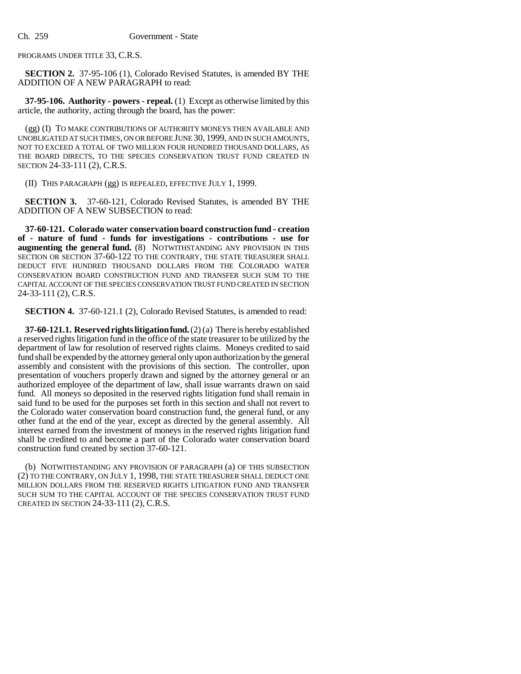PROGRAMS UNDER TITLE 33, C.R.S.

**SECTION 2.** 37-95-106 (1), Colorado Revised Statutes, is amended BY THE ADDITION OF A NEW PARAGRAPH to read:

**37-95-106. Authority - powers - repeal.** (1) Except as otherwise limited by this article, the authority, acting through the board, has the power:

(gg) (I) TO MAKE CONTRIBUTIONS OF AUTHORITY MONEYS THEN AVAILABLE AND UNOBLIGATED AT SUCH TIMES, ON OR BEFORE JUNE 30, 1999, AND IN SUCH AMOUNTS, NOT TO EXCEED A TOTAL OF TWO MILLION FOUR HUNDRED THOUSAND DOLLARS, AS THE BOARD DIRECTS, TO THE SPECIES CONSERVATION TRUST FUND CREATED IN SECTION 24-33-111 (2), C.R.S.

(II) THIS PARAGRAPH (gg) IS REPEALED, EFFECTIVE JULY 1, 1999.

**SECTION 3.** 37-60-121, Colorado Revised Statutes, is amended BY THE ADDITION OF A NEW SUBSECTION to read:

**37-60-121. Colorado water conservation board construction fund - creation of - nature of fund - funds for investigations - contributions - use for augmenting the general fund.** (8) NOTWITHSTANDING ANY PROVISION IN THIS SECTION OR SECTION 37-60-122 TO THE CONTRARY, THE STATE TREASURER SHALL DEDUCT FIVE HUNDRED THOUSAND DOLLARS FROM THE COLORADO WATER CONSERVATION BOARD CONSTRUCTION FUND AND TRANSFER SUCH SUM TO THE CAPITAL ACCOUNT OF THE SPECIES CONSERVATION TRUST FUND CREATED IN SECTION 24-33-111 (2), C.R.S.

**SECTION 4.** 37-60-121.1 (2), Colorado Revised Statutes, is amended to read:

**37-60-121.1. Reserved rights litigation fund.** (2) (a) There is hereby established a reserved rights litigation fund in the office of the state treasurer to be utilized by the department of law for resolution of reserved rights claims. Moneys credited to said fund shall be expended by the attorney general only upon authorization by the general assembly and consistent with the provisions of this section. The controller, upon presentation of vouchers properly drawn and signed by the attorney general or an authorized employee of the department of law, shall issue warrants drawn on said fund. All moneys so deposited in the reserved rights litigation fund shall remain in said fund to be used for the purposes set forth in this section and shall not revert to the Colorado water conservation board construction fund, the general fund, or any other fund at the end of the year, except as directed by the general assembly. All interest earned from the investment of moneys in the reserved rights litigation fund shall be credited to and become a part of the Colorado water conservation board construction fund created by section 37-60-121.

(b) NOTWITHSTANDING ANY PROVISION OF PARAGRAPH (a) OF THIS SUBSECTION (2) TO THE CONTRARY, ON JULY 1, 1998, THE STATE TREASURER SHALL DEDUCT ONE MILLION DOLLARS FROM THE RESERVED RIGHTS LITIGATION FUND AND TRANSFER SUCH SUM TO THE CAPITAL ACCOUNT OF THE SPECIES CONSERVATION TRUST FUND CREATED IN SECTION 24-33-111 (2), C.R.S.